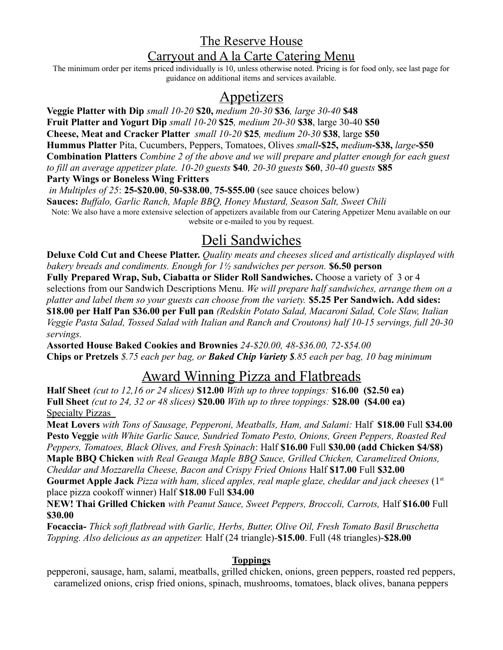## The Reserve House Carryout and A la Carte Catering Menu

The minimum order per items priced individually is 10, unless otherwise noted. Pricing is for food only, see last page for guidance on additional items and services available.

### Appetizers

**Veggie Platter with Dip** *small 10-20* **\$20,** *medium 20-30* **\$36***, large 30-40* **\$48 Fruit Platter and Yogurt Dip** *small 10-20* **\$25***, medium 20-30* **\$38**, large 30-40 **\$50 Cheese, Meat and Cracker Platter** *small 10-20* **\$25***, medium 20-30* **\$38**, large **\$50 Hummus Platter** Pita, Cucumbers, Peppers, Tomatoes, Olives *small***-\$25,** *medium***-\$38,** *large***-\$50 Combination Platters** *Combine 2 of the above and we will prepare and platter enough for each guest to fill an average appetizer plate. 10-20 guests* **\$40***, 20-30 guests* **\$60**, *30-40 guests* **\$85 Party Wings or Boneless Wing Fritters**

*in Multiples of 25*: **25-\$20.00**, **50-\$38.00**, **75-\$55.00** (see sauce choices below) **Sauces:** *Buffalo, Garlic Ranch, Maple BBQ, Honey Mustard, Season Salt, Sweet Chili* Note: We also have a more extensive selection of appetizers available from our Catering Appetizer Menu available on our website or e-mailed to you by request.

## Deli Sandwiches

**Deluxe Cold Cut and Cheese Platter.** *Quality meats and cheeses sliced and artistically displayed with bakery breads and condiments. Enough for 1½ sandwiches per person.* **\$6.50 person Fully Prepared Wrap, Sub, Ciabatta or Slider Roll Sandwiches.** Choose a variety of 3 or 4 selections from our Sandwich Descriptions Menu. *We will prepare half sandwiches, arrange them on a platter and label them so your guests can choose from the variety.* **\$5.25 Per Sandwich. Add sides: \$18.00 per Half Pan \$36.00 per Full pan** *(Redskin Potato Salad, Macaroni Salad, Cole Slaw, Italian Veggie Pasta Salad, Tossed Salad with Italian and Ranch and Croutons) half 10-15 servings, full 20-30 servings.*

**Assorted House Baked Cookies and Brownies** *24-\$20.00, 48-\$36.00, 72-\$54.00* **Chips or Pretzels** *\$.75 each per bag, or Baked Chip Variety \$.85 each per bag, 10 bag minimum*

## Award Winning Pizza and Flatbreads

**Half Sheet** *(cut to 12,16 or 24 slices)* **\$12.00** *With up to three toppings:* **\$16.00 (\$2.50 ea) Full Sheet** *(cut to 24, 32 or 48 slices)* **\$20.00** *With up to three toppings:* **\$28.00 (\$4.00 ea)** Specialty Pizzas

**Meat Lovers** *with Tons of Sausage, Pepperoni, Meatballs, Ham, and Salami:* Half **\$18.00** Full **\$34.00 Pesto Veggie** *with White Garlic Sauce, Sundried Tomato Pesto, Onions, Green Peppers, Roasted Red Peppers, Tomatoes, Black Olives, and Fresh Spinach*: Half **\$16.00** Full **\$30.00 (add Chicken \$4/\$8) Maple BBQ Chicken** *with Real Geauga Maple BBQ Sauce, Grilled Chicken, Caramelized Onions, Cheddar and Mozzarella Cheese, Bacon and Crispy Fried Onions* Half **\$17.00** Full **\$32.00 Gourmet Apple Jack** *Pizza with ham, sliced apples, real maple glaze, cheddar and jack cheeses* (1<sup>st</sup>

place pizza cookoff winner) Half **\$18.00** Full **\$34.00**

**NEW! Thai Grilled Chicken** *with Peanut Sauce, Sweet Peppers, Broccoli, Carrots,* Half **\$16.00** Full **\$30.00**

**Focaccia-** *Thick soft flatbread with Garlic, Herbs, Butter, Olive Oil, Fresh Tomato Basil Bruschetta Topping. Also delicious as an appetizer.* Half (24 triangle)-**\$15.00**. Full (48 triangles)-**\$28.00**

### **Toppings**

pepperoni, sausage, ham, salami, meatballs, grilled chicken, onions, green peppers, roasted red peppers, caramelized onions, crisp fried onions, spinach, mushrooms, tomatoes, black olives, banana peppers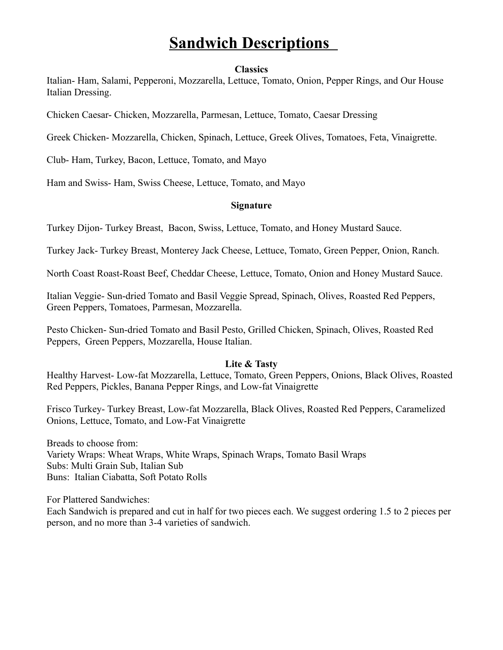## **Sandwich Descriptions**

#### **Classics**

Italian- Ham, Salami, Pepperoni, Mozzarella, Lettuce, Tomato, Onion, Pepper Rings, and Our House Italian Dressing.

Chicken Caesar- Chicken, Mozzarella, Parmesan, Lettuce, Tomato, Caesar Dressing

Greek Chicken- Mozzarella, Chicken, Spinach, Lettuce, Greek Olives, Tomatoes, Feta, Vinaigrette.

Club- Ham, Turkey, Bacon, Lettuce, Tomato, and Mayo

Ham and Swiss- Ham, Swiss Cheese, Lettuce, Tomato, and Mayo

#### **Signature**

Turkey Dijon- Turkey Breast, Bacon, Swiss, Lettuce, Tomato, and Honey Mustard Sauce.

Turkey Jack- Turkey Breast, Monterey Jack Cheese, Lettuce, Tomato, Green Pepper, Onion, Ranch.

North Coast Roast-Roast Beef, Cheddar Cheese, Lettuce, Tomato, Onion and Honey Mustard Sauce.

Italian Veggie- Sun-dried Tomato and Basil Veggie Spread, Spinach, Olives, Roasted Red Peppers, Green Peppers, Tomatoes, Parmesan, Mozzarella.

Pesto Chicken- Sun-dried Tomato and Basil Pesto, Grilled Chicken, Spinach, Olives, Roasted Red Peppers, Green Peppers, Mozzarella, House Italian.

#### **Lite & Tasty**

Healthy Harvest- Low-fat Mozzarella, Lettuce, Tomato, Green Peppers, Onions, Black Olives, Roasted Red Peppers, Pickles, Banana Pepper Rings, and Low-fat Vinaigrette

Frisco Turkey- Turkey Breast, Low-fat Mozzarella, Black Olives, Roasted Red Peppers, Caramelized Onions, Lettuce, Tomato, and Low-Fat Vinaigrette

Breads to choose from: Variety Wraps: Wheat Wraps, White Wraps, Spinach Wraps, Tomato Basil Wraps Subs: Multi Grain Sub, Italian Sub Buns: Italian Ciabatta, Soft Potato Rolls

For Plattered Sandwiches:

Each Sandwich is prepared and cut in half for two pieces each. We suggest ordering 1.5 to 2 pieces per person, and no more than 3-4 varieties of sandwich.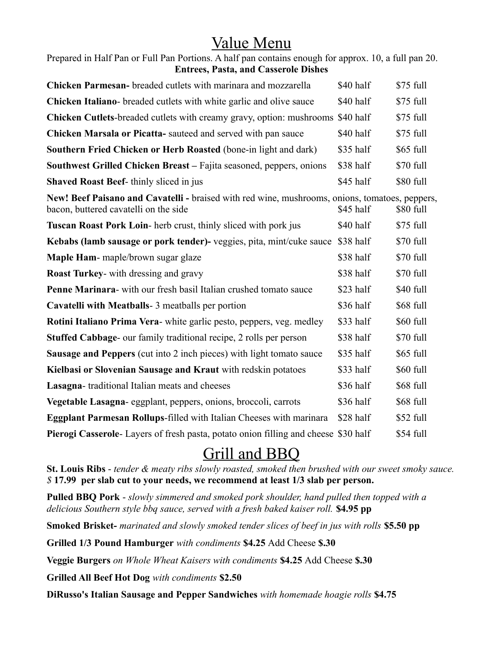# Value Menu

| Prepared in Half Pan or Full Pan Portions. A half pan contains enough for approx. 10, a full pan 20. |  |
|------------------------------------------------------------------------------------------------------|--|
| <b>Entrees, Pasta, and Casserole Dishes</b>                                                          |  |

| Chicken Parmesan- breaded cutlets with marinara and mozzarella                                                                          | \$40 half | \$75 full  |
|-----------------------------------------------------------------------------------------------------------------------------------------|-----------|------------|
| <b>Chicken Italiano-</b> breaded cutlets with white garlic and olive sauce                                                              | \$40 half | \$75 full  |
| Chicken Cutlets-breaded cutlets with creamy gravy, option: mushrooms \$40 half                                                          |           | \$75 full  |
| Chicken Marsala or Picatta- sauteed and served with pan sauce                                                                           | \$40 half | \$75 full  |
| Southern Fried Chicken or Herb Roasted (bone-in light and dark)                                                                         | \$35 half | \$65 full  |
| Southwest Grilled Chicken Breast – Fajita seasoned, peppers, onions                                                                     | \$38 half | \$70 full  |
| <b>Shaved Roast Beef-</b> thinly sliced in jus                                                                                          | \$45 half | \$80 full  |
| New! Beef Paisano and Cavatelli - braised with red wine, mushrooms, onions, tomatoes, peppers,<br>bacon, buttered cavatelli on the side | \$45 half | \$80 full  |
| <b>Tuscan Roast Pork Loin-</b> herb crust, thinly sliced with pork jus                                                                  | \$40 half | \$75 full  |
| Kebabs (lamb sausage or pork tender)- veggies, pita, mint/cuke sauce \$38 half                                                          |           | \$70 full  |
| Maple Ham- maple/brown sugar glaze                                                                                                      | \$38 half | \$70 full  |
| <b>Roast Turkey-</b> with dressing and gravy                                                                                            | \$38 half | \$70 full  |
| <b>Penne Marinara-</b> with our fresh basil Italian crushed tomato sauce                                                                | \$23 half | \$40 full  |
| Cavatelli with Meatballs - 3 meatballs per portion                                                                                      | \$36 half | \$68 full  |
| Rotini Italiano Prima Vera- white garlic pesto, peppers, veg. medley                                                                    | \$33 half | \$60 full  |
| <b>Stuffed Cabbage-</b> our family traditional recipe, 2 rolls per person                                                               | \$38 half | \$70 full  |
| <b>Sausage and Peppers</b> (cut into 2 inch pieces) with light tomato sauce                                                             | \$35 half | \$65 full  |
| Kielbasi or Slovenian Sausage and Kraut with redskin potatoes                                                                           | \$33 half | \$60 full  |
| Lasagna-traditional Italian meats and cheeses                                                                                           | \$36 half | \$68 full  |
| Vegetable Lasagna- eggplant, peppers, onions, broccoli, carrots                                                                         | \$36 half | \$68 full  |
| <b>Eggplant Parmesan Rollups-filled with Italian Cheeses with marinara</b>                                                              | \$28 half | $$52$ full |
| Pierogi Casserole-Layers of fresh pasta, potato onion filling and cheese \$30 half                                                      |           | \$54 full  |

# Grill and BBQ

**St. Louis Ribs** - *tender & meaty ribs slowly roasted, smoked then brushed with our sweet smoky sauce. \$* **17.99 per slab cut to your needs, we recommend at least 1/3 slab per person.**

**Pulled BBQ Pork** - *slowly simmered and smoked pork shoulder, hand pulled then topped with a delicious Southern style bbq sauce, served with a fresh baked kaiser roll.* **\$4.95 pp**

**Smoked Brisket-** *marinated and slowly smoked tender slices of beef in jus with rolls* **\$5.50 pp**

**Grilled 1/3 Pound Hamburger** *with condiments* **\$4.25** Add Cheese **\$.30**

**Veggie Burgers** *on Whole Wheat Kaisers with condiments* **\$4.25** Add Cheese **\$.30**

**Grilled All Beef Hot Dog** *with condiments* **\$2.50**

**DiRusso's Italian Sausage and Pepper Sandwiches** *with homemade hoagie rolls* **\$4.75**